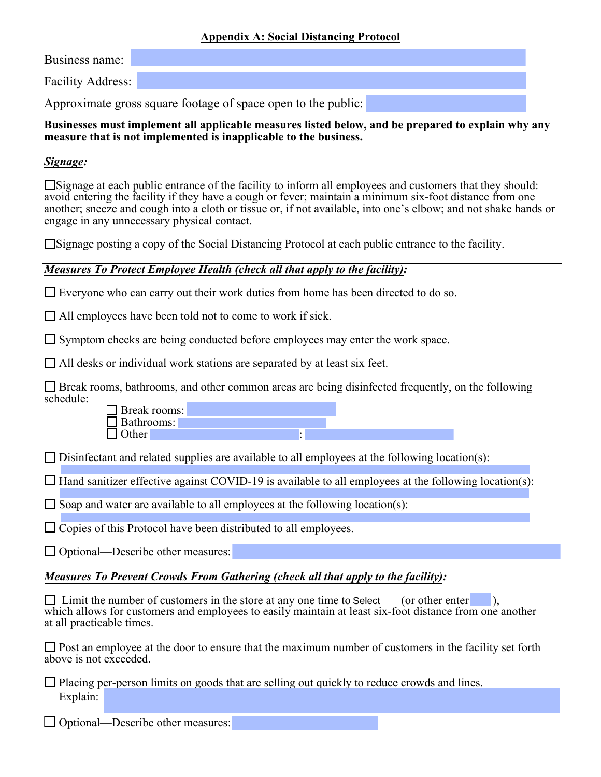#### **Appendix A: Social Distancing Protocol**

Business name:

Facility Address:

Approximate gross square footage of space open to the public:

#### **Businesses must implement all applicable measures listed below, and be prepared to explain why any measure that is not implemented is inapplicable to the business.**

### *Signage:*

□Signage at each public entrance of the facility to inform all employees and customers that they should: avoid entering the facility if they have a cough or fever; maintain a minimum six-foot distance from one another; sneeze and cough into a cloth or tissue or, if not available, into one's elbow; and not shake hands or engage in any unnecessary physical contact.

☐Signage posting a copy of the Social Distancing Protocol at each public entrance to the facility.

## *Measures To Protect Employee Health (check all that apply to the facility):*

 $\Box$  Everyone who can carry out their work duties from home has been directed to do so.

 $\Box$  All employees have been told not to come to work if sick.

□ Symptom checks are being conducted before employees may enter the work space.

 $\Box$  All desks or individual work stations are separated by at least six feet.

□ Break rooms, bathrooms, and other common areas are being disinfected frequently, on the following schedule:

☐ Break rooms: ☐ Bathrooms:  $\Box$  Other

 $\Box$  Disinfectant and related supplies are available to all employees at the following location(s):

 $\Box$  Hand sanitizer effective against COVID-19 is available to all employees at the following location(s):

 $\Box$  Soap and water are available to all employees at the following location(s):

 $\Box$  Copies of this Protocol have been distributed to all employees.

 $\Box$  Optional—Describe other measures:

## *Measures To Prevent Crowds From Gathering (check all that apply to the facility):*

 $\Box$  Limit the number of customers in the store at any one time to Select (or other enter ), which allows for customers and employees to easily maintain at least six-foot distance from one another at all practicable times.

 $\Box$  Post an employee at the door to ensure that the maximum number of customers in the facility set forth above is not exceeded.

□ Placing per-person limits on goods that are selling out quickly to reduce crowds and lines. Explain:

 $\Box$  Optional—Describe other measures: